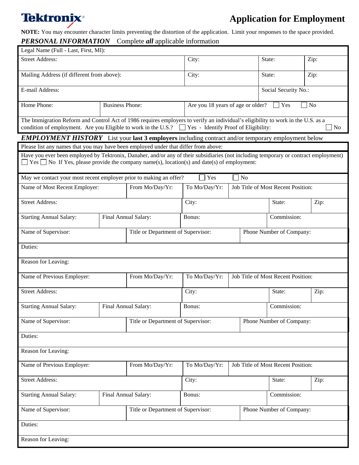# **Tektronix**®

## **Application for Employment**

**NOTE:** You may encounter character limits preventing the distortion of the application. Limit your responses to the space provided.

| PERSONAL INFORMATION                                                                                                                                                                                                                            |                                                  | Complete <i>all</i> applicable information          |                                    |             |                                    |                |  |
|-------------------------------------------------------------------------------------------------------------------------------------------------------------------------------------------------------------------------------------------------|--------------------------------------------------|-----------------------------------------------------|------------------------------------|-------------|------------------------------------|----------------|--|
| Legal Name (Full - Last, First, MI):                                                                                                                                                                                                            |                                                  |                                                     |                                    |             |                                    |                |  |
| Street Address:                                                                                                                                                                                                                                 |                                                  | City:                                               |                                    | State:      | Zip:                               |                |  |
| Mailing Address (if different from above):                                                                                                                                                                                                      |                                                  |                                                     | City:                              |             | State:                             | Zip:           |  |
| E-mail Address:                                                                                                                                                                                                                                 |                                                  |                                                     | Social Security No.:               |             |                                    |                |  |
| Home Phone:                                                                                                                                                                                                                                     | <b>Business Phone:</b>                           |                                                     | Are you 18 years of age or older?  |             | Yes                                | N <sub>o</sub> |  |
| The Immigration Reform and Control Act of 1986 requires employers to verify an individual's eligibility to work in the U.S. as a<br>condition of employment. Are you Eligible to work in the U.S.? Tes - Identify Proof of Eligibility:         |                                                  |                                                     | No                                 |             |                                    |                |  |
| <b>EMPLOYMENT HISTORY</b> List your last 3 employers including contract and/or temporary employment below                                                                                                                                       |                                                  |                                                     |                                    |             |                                    |                |  |
| Please list any names that you may have been employed under that differ from above:                                                                                                                                                             |                                                  |                                                     |                                    |             |                                    |                |  |
| Have you ever been employed by Tektronix, Danaher, and/or any of their subsidiaries (not including temporary or contract employment)<br>$\Box$ Yes $\Box$ No If Yes, please provide the company name(s), location(s) and date(s) of employment: |                                                  |                                                     |                                    |             |                                    |                |  |
| May we contact your most recent employer prior to making an offer?                                                                                                                                                                              |                                                  |                                                     | Yes<br>$\exists$ No                |             |                                    |                |  |
|                                                                                                                                                                                                                                                 | Name of Most Recent Employer:<br>From Mo/Day/Yr: |                                                     | To Mo/Day/Yr:                      |             | Job Title of Most Recent Position: |                |  |
| <b>Street Address:</b>                                                                                                                                                                                                                          |                                                  |                                                     | City:                              |             | State:                             | Zip:           |  |
| <b>Starting Annual Salary:</b>                                                                                                                                                                                                                  | Final Annual Salary:                             |                                                     | Bonus:                             |             | Commission:                        |                |  |
| Name of Supervisor:<br>Title or Department of Supervisor:                                                                                                                                                                                       |                                                  |                                                     |                                    |             | Phone Number of Company:           |                |  |
| Duties:                                                                                                                                                                                                                                         |                                                  |                                                     |                                    |             |                                    |                |  |
| Reason for Leaving:                                                                                                                                                                                                                             |                                                  |                                                     |                                    |             |                                    |                |  |
| Name of Previous Employer:<br>From Mo/Day/Yr:                                                                                                                                                                                                   |                                                  | To Mo/Day/Yr:                                       | Job Title of Most Recent Position: |             |                                    |                |  |
| <b>Street Address:</b>                                                                                                                                                                                                                          |                                                  | City:                                               |                                    | State:      | Zip:                               |                |  |
| <b>Starting Annual Salary:</b>                                                                                                                                                                                                                  |                                                  | Final Annual Salary:<br>Bonus:                      |                                    |             | Commission:                        |                |  |
| Name of Supervisor:<br>Title or Department of Supervisor:                                                                                                                                                                                       |                                                  | Phone Number of Company:                            |                                    |             |                                    |                |  |
| Duties:                                                                                                                                                                                                                                         |                                                  |                                                     |                                    |             |                                    |                |  |
| Reason for Leaving:                                                                                                                                                                                                                             |                                                  |                                                     |                                    |             |                                    |                |  |
| Name of Previous Employer:<br>From Mo/Day/Yr:                                                                                                                                                                                                   |                                                  | Job Title of Most Recent Position:<br>To Mo/Day/Yr: |                                    |             |                                    |                |  |
| <b>Street Address:</b>                                                                                                                                                                                                                          |                                                  |                                                     | City:                              |             | State:                             | Zip:           |  |
| <b>Starting Annual Salary:</b><br>Final Annual Salary:                                                                                                                                                                                          |                                                  | Bonus:                                              |                                    | Commission: |                                    |                |  |
| Name of Supervisor:                                                                                                                                                                                                                             |                                                  | Title or Department of Supervisor:                  |                                    |             | Phone Number of Company:           |                |  |
| Duties:                                                                                                                                                                                                                                         |                                                  |                                                     |                                    |             |                                    |                |  |
| Reason for Leaving:                                                                                                                                                                                                                             |                                                  |                                                     |                                    |             |                                    |                |  |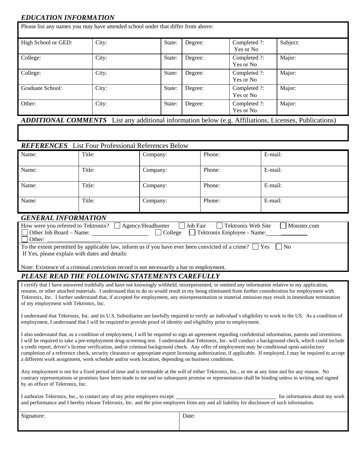### *EDUCATION INFORMATION*

| High School or GED: | City: | State: | Degree: | Completed ?:<br>Yes or No | Subject:                                                                                                     |
|---------------------|-------|--------|---------|---------------------------|--------------------------------------------------------------------------------------------------------------|
| College:            | City: | State: | Degree: | Completed ?:<br>Yes or No | Major:                                                                                                       |
| College:            | City: | State: | Degree: | Completed ?:<br>Yes or No | Major:                                                                                                       |
| Graduate School:    | City: | State: | Degree: | Completed ?:<br>Yes or No | Major:                                                                                                       |
| Other:              | City: | State: | Degree: | Completed ?:<br>Yes or No | Major:                                                                                                       |
|                     |       |        |         |                           | <b>ADDITIONAL COMMENTS</b> List any additional information below (e.g. Affiliations, Licenses, Publications) |

| <b>REPERENCE</b> EISET OUT FLORESSIONAL INCRETENCES DEIUW |        |          |        |         |
|-----------------------------------------------------------|--------|----------|--------|---------|
| Name:                                                     | Title: | Company: | Phone: | E-mail: |
| Name:                                                     | Title: | Company: | Phone: | E-mail: |
| Name:                                                     | Title: | Company: | Phone: | E-mail: |
| Name:                                                     | Title: | Company: | Phone: | E-mail: |

#### *GENERAL INFORMATION*

| <u>ULIDIULLID ONIIMATUU</u>                                                                                             |  |  |  |  |
|-------------------------------------------------------------------------------------------------------------------------|--|--|--|--|
| How were you referred to Tektronix? $\Box$ Agency/Headhunter $\Box$ Job Fair $\Box$ Tektronix Web Site<br>  Monster.com |  |  |  |  |
| □ College □ Tektronix Employee - Name: ________<br>$\Box$ Other Job Board – Name:                                       |  |  |  |  |
| Other:                                                                                                                  |  |  |  |  |
| To the extent permitted by applicable law, inform us if you have ever been convicted of a crime? $\Box$ Yes $\Box$ No   |  |  |  |  |
| If Yes, please explain with dates and details:                                                                          |  |  |  |  |
|                                                                                                                         |  |  |  |  |
| Note: Existence of a criminal conviction record is not necessarily a bar to employment.                                 |  |  |  |  |

#### *PLEASE READ THE FOLLOWING STATEMENTS CAREFULLY*

I certify that I have answered truthfully and have not knowingly withheld, misrepresented, or omitted any information relative to my application, resume, or other attached materials. I understand that to do so would result in my being eliminated from further consideration for employment with Tektronix, Inc. I further understand that, if accepted for employment, any misrepresentation or material omission may result in immediate termination of my employment with Tektronix, Inc.

I understand that Tektronix, Inc. and its U.S. Subsidiaries are lawfully required to verify an individual's eligibility to work in the US. As a condition of employment, I understand that I will be required to provide proof of identity and eligibility prior to employment.

I also understand that, as a condition of employment, I will be required to sign an agreement regarding confidential information, patents and inventions. I will be required to take a pre-employment drug-screening test. I understand that Tektronix, Inc. will conduct a background check, which could include a credit report, driver's license verification, and/or criminal background check. Any offer of employment may be conditional upon satisfactory completion of a reference check, security clearance or appropriate export licensing authorization, if applicable. If employed, I may be required to accept a different work assignment, work schedule and/or work location, depending on business conditions.

Any employment is not for a fixed period of time and is terminable at the will of either Tektronix, Inc., or me at any time and for any reason. No contrary representations or promises have been made to me and no subsequent promise or representation shall be binding unless in writing and signed by an officer of Tektronix, Inc.

| I authorize Tektronix, Inc., to contact any of my prior employers except:                                                                   | for information about my work |
|---------------------------------------------------------------------------------------------------------------------------------------------|-------------------------------|
| and performance and I hereby release Tektronix, Inc. and the prior employers from any and all liability for disclosure of such information. |                               |

| Signature: | Date: |
|------------|-------|
|            |       |